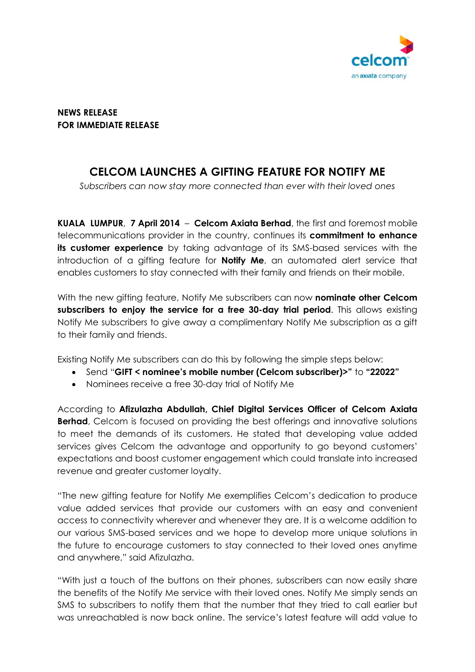

**NEWS RELEASE FOR IMMEDIATE RELEASE**

## **CELCOM LAUNCHES A GIFTING FEATURE FOR NOTIFY ME**

*Subscribers can now stay more connected than ever with their loved ones*

**KUALA LUMPUR**, **7 April 2014** – **Celcom Axiata Berhad**, the first and foremost mobile telecommunications provider in the country, continues its **commitment to enhance its customer experience** by taking advantage of its SMS-based services with the introduction of a gifting feature for **Notify Me**, an automated alert service that enables customers to stay connected with their family and friends on their mobile.

With the new gifting feature, Notify Me subscribers can now **nominate other Celcom subscribers to enjoy the service for a free 30-day trial period**. This allows existing Notify Me subscribers to give away a complimentary Notify Me subscription as a gift to their family and friends.

Existing Notify Me subscribers can do this by following the simple steps below:

- Send "**GIFT < nominee's mobile number (Celcom subscriber)>"** to **"22022"**
- Nominees receive a free 30-day trial of Notify Me

According to **Afizulazha Abdullah, Chief Digital Services Officer of Celcom Axiata Berhad**, Celcom is focused on providing the best offerings and innovative solutions to meet the demands of its customers. He stated that developing value added services gives Celcom the advantage and opportunity to go beyond customers' expectations and boost customer engagement which could translate into increased revenue and greater customer loyalty.

"The new gifting feature for Notify Me exemplifies Celcom's dedication to produce value added services that provide our customers with an easy and convenient access to connectivity wherever and whenever they are. It is a welcome addition to our various SMS-based services and we hope to develop more unique solutions in the future to encourage customers to stay connected to their loved ones anytime and anywhere," said Afizulazha.

"With just a touch of the buttons on their phones, subscribers can now easily share the benefits of the Notify Me service with their loved ones. Notify Me simply sends an SMS to subscribers to notify them that the number that they tried to call earlier but was unreachabled is now back online. The service's latest feature will add value to